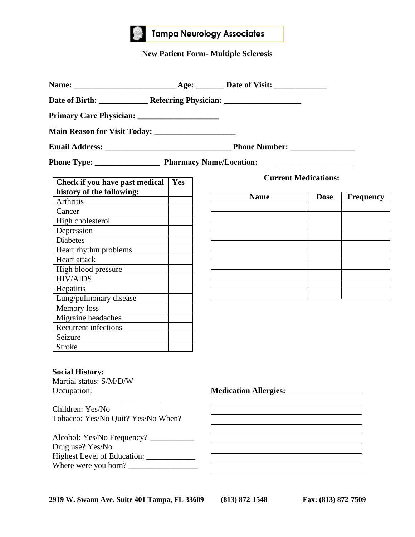

# **Tampa Neurology Associates**

# **New Patient Form- Multiple Sclerosis**

| Check if you have past medical<br>history of the following:                          | Yes |                              | <b>Current Medications:</b> |                  |
|--------------------------------------------------------------------------------------|-----|------------------------------|-----------------------------|------------------|
| Arthritis                                                                            |     | <b>Name</b>                  | <b>Dose</b>                 | <b>Frequency</b> |
| Cancer                                                                               |     |                              |                             |                  |
| High cholesterol                                                                     |     |                              |                             |                  |
| Depression                                                                           |     |                              |                             |                  |
| <b>Diabetes</b>                                                                      |     |                              |                             |                  |
| Heart rhythm problems                                                                |     |                              |                             |                  |
| Heart attack                                                                         |     |                              |                             |                  |
| High blood pressure                                                                  |     |                              |                             |                  |
| <b>HIV/AIDS</b>                                                                      |     |                              |                             |                  |
| Hepatitis                                                                            |     |                              |                             |                  |
| Lung/pulmonary disease                                                               |     |                              |                             |                  |
| Memory loss                                                                          |     |                              |                             |                  |
| Migraine headaches                                                                   |     |                              |                             |                  |
| <b>Recurrent infections</b>                                                          |     |                              |                             |                  |
| Seizure                                                                              |     |                              |                             |                  |
| Stroke                                                                               |     |                              |                             |                  |
| <b>Social History:</b><br>Martial status: S/M/D/W<br>Occupation:<br>Children: Yes/No |     | <b>Medication Allergies:</b> |                             |                  |
| Tobacco: Yes/No Quit? Yes/No When?                                                   |     |                              |                             |                  |
| Alcohol: Yes/No Frequency?<br>Drug use? Yes/No                                       |     |                              |                             |                  |

**2919 W. Swann Ave. Suite 401 Tampa, FL 33609 (813) 872-1548 Fax: (813) 872-7509**

Highest Level of Education: \_\_\_\_\_\_\_\_\_\_\_\_

Where were you born? \_\_\_\_\_\_\_\_\_\_\_\_\_\_\_\_\_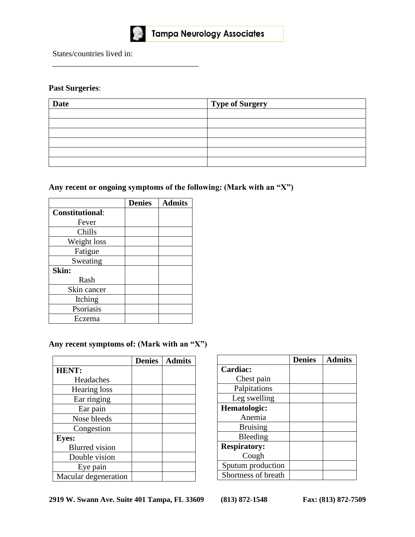

\_\_\_\_\_\_\_\_\_\_\_\_\_\_\_\_\_\_\_\_\_\_\_\_\_\_\_\_\_\_\_\_\_\_\_\_

States/countries lived in:

# **Past Surgeries**:

| <b>Date</b> | <b>Type of Surgery</b> |
|-------------|------------------------|
|             |                        |
|             |                        |
|             |                        |
|             |                        |
|             |                        |
|             |                        |

# **Any recent or ongoing symptoms of the following: (Mark with an "X")**

|                        | <b>Denies</b> | <b>Admits</b> |
|------------------------|---------------|---------------|
| <b>Constitutional:</b> |               |               |
| Fever                  |               |               |
| Chills                 |               |               |
| Weight loss            |               |               |
| Fatigue                |               |               |
| Sweating               |               |               |
| Skin:                  |               |               |
| Rash                   |               |               |
| Skin cancer            |               |               |
| Itching                |               |               |
| Psoriasis              |               |               |
| Eczema                 |               |               |

# **Any recent symptoms of: (Mark with an "X")**

|                       | <b>Denies</b> | <b>Admits</b> |
|-----------------------|---------------|---------------|
| <b>HENT:</b>          |               |               |
| Headaches             |               |               |
| Hearing loss          |               |               |
| Ear ringing           |               |               |
| Ear pain              |               |               |
| Nose bleeds           |               |               |
| Congestion            |               |               |
| <b>Eyes:</b>          |               |               |
| <b>Blurred</b> vision |               |               |
| Double vision         |               |               |
| Eye pain              |               |               |
| Macular degeneration  |               |               |

|                     | <b>Denies</b> | <b>Admits</b> |
|---------------------|---------------|---------------|
| Cardiac:            |               |               |
| Chest pain          |               |               |
| Palpitations        |               |               |
| Leg swelling        |               |               |
| Hematologic:        |               |               |
| Anemia              |               |               |
| <b>Bruising</b>     |               |               |
| Bleeding            |               |               |
| <b>Respiratory:</b> |               |               |
| Cough               |               |               |
| Sputum production   |               |               |
| Shortness of breath |               |               |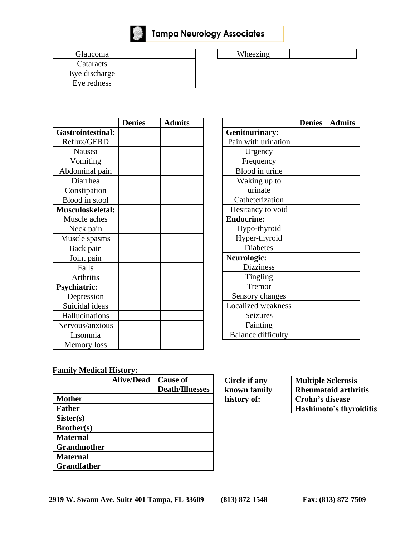

Tampa Neurology Associates

| <b>Glaucoma</b> |  |
|-----------------|--|
| Cataracts       |  |
| Eye discharge   |  |
| Eye redness     |  |

| Wheezing |  |  |
|----------|--|--|
|          |  |  |

|                          | <b>Denies</b> | <b>Admits</b> |
|--------------------------|---------------|---------------|
| <b>Gastrointestinal:</b> |               |               |
| Reflux/GERD              |               |               |
| Nausea                   |               |               |
| Vomiting                 |               |               |
| Abdominal pain           |               |               |
| Diarrhea                 |               |               |
| Constipation             |               |               |
| Blood in stool           |               |               |
| <b>Musculoskeletal:</b>  |               |               |
| Muscle aches             |               |               |
| Neck pain                |               |               |
| Muscle spasms            |               |               |
| Back pain                |               |               |
| Joint pain               |               |               |
| Falls                    |               |               |
| <b>Arthritis</b>         |               |               |
| <b>Psychiatric:</b>      |               |               |
| Depression               |               |               |
| Suicidal ideas           |               |               |
| Hallucinations           |               |               |
| Nervous/anxious          |               |               |
| Insomnia                 |               |               |
| Memory loss              |               |               |

|                           | <b>Denies</b> | <b>Admits</b> |
|---------------------------|---------------|---------------|
| <b>Genitourinary:</b>     |               |               |
| Pain with urination       |               |               |
| Urgency                   |               |               |
| Frequency                 |               |               |
| Blood in urine            |               |               |
| Waking up to              |               |               |
| urinate                   |               |               |
| Catheterization           |               |               |
| Hesitancy to void         |               |               |
| <b>Endocrine:</b>         |               |               |
| Hypo-thyroid              |               |               |
| Hyper-thyroid             |               |               |
| <b>Diabetes</b>           |               |               |
| Neurologic:               |               |               |
| <b>Dizziness</b>          |               |               |
| Tingling                  |               |               |
| Tremor                    |               |               |
| Sensory changes           |               |               |
| <b>Localized</b> weakness |               |               |
| Seizures                  |               |               |
| Fainting                  |               |               |
| <b>Balance difficulty</b> |               |               |

### **Family Medical History:**

|                    | <b>Alive/Dead</b> | <b>Cause of</b>        |
|--------------------|-------------------|------------------------|
|                    |                   | <b>Death/Illnesses</b> |
| <b>Mother</b>      |                   |                        |
| <b>Father</b>      |                   |                        |
| Sister(s)          |                   |                        |
| Brother(s)         |                   |                        |
| <b>Maternal</b>    |                   |                        |
| <b>Grandmother</b> |                   |                        |
| <b>Maternal</b>    |                   |                        |
| <b>Grandfather</b> |                   |                        |

| <b>Circle if any</b> | <b>Multiple Sclerosis</b>   |
|----------------------|-----------------------------|
| known family         | <b>Rheumatoid arthritis</b> |
| history of:          | Crohn's disease             |
|                      | Hashimoto's thyroiditis     |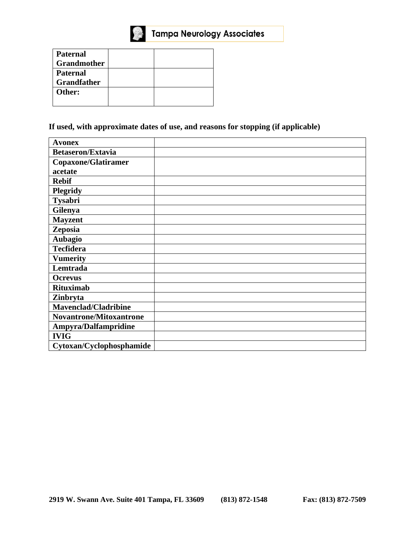

| <b>Paternal</b>    |  |
|--------------------|--|
| <b>Grandmother</b> |  |
| <b>Paternal</b>    |  |
| <b>Grandfather</b> |  |
| Other:             |  |
|                    |  |

If used, with approximate dates of use, and reasons for stopping (if applicable)

| <b>Avonex</b>                  |  |
|--------------------------------|--|
| <b>Betaseron/Extavia</b>       |  |
| <b>Copaxone/Glatiramer</b>     |  |
| acetate                        |  |
| <b>Rebif</b>                   |  |
| <b>Plegridy</b>                |  |
| Tysabri                        |  |
| <b>Gilenya</b>                 |  |
| <b>Mayzent</b>                 |  |
| Zeposia                        |  |
| <b>Aubagio</b>                 |  |
| <b>Tecfidera</b>               |  |
| <b>Vumerity</b>                |  |
| Lemtrada                       |  |
| <b>Ocrevus</b>                 |  |
| <b>Rituximab</b>               |  |
| Zinbryta                       |  |
| Mavenclad/Cladribine           |  |
| <b>Novantrone/Mitoxantrone</b> |  |
| Ampyra/Dalfampridine           |  |
| <b>IVIG</b>                    |  |
| Cytoxan/Cyclophosphamide       |  |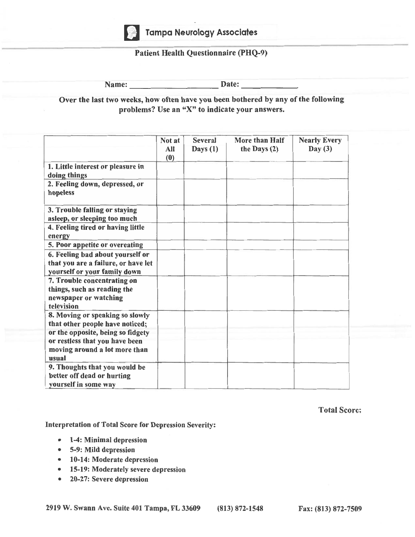

#### **Patient Health Questionnaire (PHQ-9)**

Name:  $\_\_$ 

Over the last two weeks, how often have you been bothered by any of the following problems? Use an "X" to indicate your answers.

|                                                                                                               | Not at<br>All<br>(0) | <b>Several</b><br>Days $(1)$ | <b>More than Half</b><br>the Days $(2)$ | <b>Nearly Every</b><br>Day $(3)$ |
|---------------------------------------------------------------------------------------------------------------|----------------------|------------------------------|-----------------------------------------|----------------------------------|
| 1. Little interest or pleasure in<br>doing things                                                             |                      |                              |                                         |                                  |
| 2. Feeling down, depressed, or<br>hopeless                                                                    |                      |                              |                                         |                                  |
| 3. Trouble falling or staying<br>asleep, or sleeping too much                                                 |                      |                              |                                         |                                  |
| 4. Feeling tired or having little<br>energy                                                                   |                      |                              |                                         |                                  |
| 5. Poor appetite or overeating                                                                                |                      |                              |                                         |                                  |
| 6. Feeling bad about yourself or<br>that you are a failure, or have let<br>yourself or your family down       |                      |                              |                                         |                                  |
| 7. Trouble concentrating on<br>things, such as reading the<br>newspaper or watching<br>television             |                      |                              |                                         |                                  |
| 8. Moving or speaking so slowly<br>that other people have noticed;                                            |                      |                              |                                         |                                  |
| or the opposite, being so fidgety<br>or restless that you have been<br>moving around a lot more than<br>usual |                      |                              |                                         |                                  |
| 9. Thoughts that you would be<br>better off dead or hurting<br>vourself in some way                           |                      |                              |                                         |                                  |

**Total Score:** 

Interpretation of Total Score for Depression Severity:

- 1-4: Minimal depression
- 5-9: Mild depression
- 10-14: Moderate depression
- 15-19: Moderately severe depression
- 20-27: Severe depression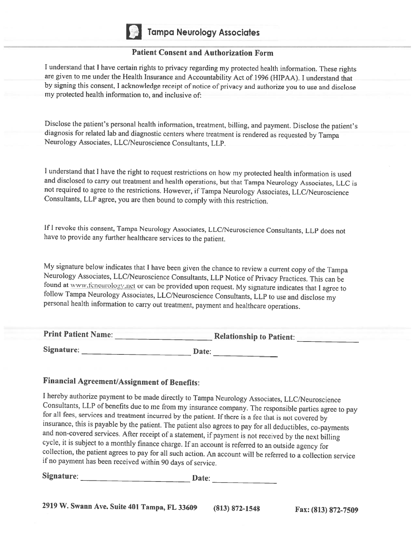

#### **Patient Consent and Authorization Form**

I understand that I have certain rights to privacy regarding my protected health information. These rights are given to me under the Health Insurance and Accountability Act of 1996 (HIPAA). I understand that by signing this consent, I acknowledge receipt of notice of privacy and authorize you to use and disclose my protected health information to, and inclusive of:

Disclose the patient's personal health information, treatment, billing, and payment. Disclose the patient's diagnosis for related lab and diagnostic centers where treatment is rendered as requested by Tampa Neurology Associates, LLC/Neuroscience Consultants, LLP.

I understand that I have the right to request restrictions on how my protected health information is used and disclosed to carry out treatment and health operations, but that Tampa Neurology Associates, LLC is not required to agree to the restrictions. However, if Tampa Neurology Associates, LLC/Neuroscience Consultants, LLP agree, you are then bound to comply with this restriction.

If I revoke this consent, Tampa Neurology Associates, LLC/Neuroscience Consultants, LLP does not have to provide any further healthcare services to the patient.

My signature below indicates that I have been given the chance to review a current copy of the Tampa Neurology Associates, LLC/Neuroscience Consultants, LLP Notice of Privacy Practices. This can be found at www.fcneurology.net or can be provided upon request. My signature indicates that I agree to follow Tampa Neurology Associates, LLC/Neuroscience Consultants, LLP to use and disclose my personal health information to carry out treatment, payment and healthcare operations.

| <b>Print Patient Name:</b> | <b>Relationship to Patient:</b> |
|----------------------------|---------------------------------|
| Signature:                 | <b>Date:</b>                    |

# **Financial Agreement/Assignment of Benefits:**

I hereby authorize payment to be made directly to Tampa Neurology Associates, LLC/Neuroscience Consultants, LLP of benefits due to me from my insurance company. The responsible parties agree to pay for all fees, services and treatment incurred by the patient. If there is a fee that is not covered by insurance, this is payable by the patient. The patient also agrees to pay for all deductibles, co-payments and non-covered services. After receipt of a statement, if payment is not received by the next billing cycle, it is subject to a monthly finance charge. If an account is referred to an outside agency for collection, the patient agrees to pay for all such action. An account will be referred to a collection service if no payment has been received within 90 days of service.

Signature: Date: